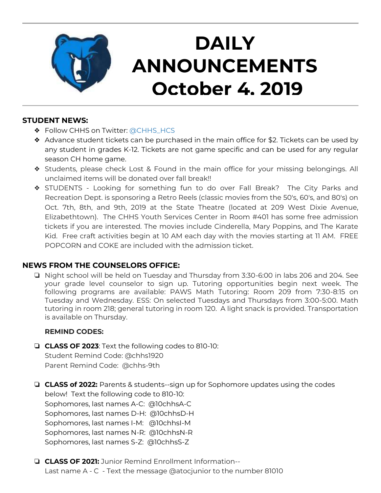

# **DAILY ANNOUNCEMENTS October 4, 2019**

### **STUDENT NEWS:**

- ❖ Follow CHHS on Twitter: [@CHHS\\_HCS](https://twitter.com/CHHS_HCS)
- ◆ Advance student tickets can be purchased in the main office for \$2. Tickets can be used by any student in grades K-12. Tickets are not game specific and can be used for any regular season CH home game.
- ❖ Students, please check Lost & Found in the main office for your missing belongings. All unclaimed items will be donated over fall break!!
- ❖ STUDENTS Looking for something fun to do over Fall Break? The City Parks and Recreation Dept. is sponsoring a Retro Reels (classic movies from the 50's, 60's, and 80's) on Oct. 7th, 8th, and 9th, 2019 at the State Theatre (located at 209 West Dixie Avenue, Elizabethtown). The CHHS Youth Services Center in Room #401 has some free admission tickets if you are interested. The movies include Cinderella, Mary Poppins, and The Karate Kid. Free craft activities begin at 10 AM each day with the movies starting at 11 AM. FREE POPCORN and COKE are included with the admission ticket.

### **NEWS FROM THE COUNSELORS OFFICE:**

❏ Night school will be held on Tuesday and Thursday from 3:30-6:00 in labs 206 and 204. See your grade level counselor to sign up. Tutoring opportunities begin next week. The following programs are available: PAWS Math Tutoring: Room 209 from 7:30-8:15 on Tuesday and Wednesday. ESS: On selected Tuesdays and Thursdays from 3:00-5:00. Math tutoring in room 218; general tutoring in room 120. A light snack is provided. Transportation is available on Thursday.

#### **REMIND CODES:**

- ❏ **CLASS OF 2023**: Text the following codes to 810-10: Student Remind Code: @chhs1920 Parent Remind Code: @chhs-9th
- ❏ **CLASS of 2022:** Parents & students--sign up for Sophomore updates using the codes below! Text the following code to 810-10: Sophomores, last names A-C: @10chhsA-C Sophomores, last names D-H: @10chhsD-H Sophomores, last names I-M: @10chhsI-M Sophomores, last names N-R: @10chhsN-R Sophomores, last names S-Z: @10chhsS-Z
- ❏ **CLASS OF 2021:** Junior Remind Enrollment Information-- Last name A - C - Text the message @atocjunior to the number 81010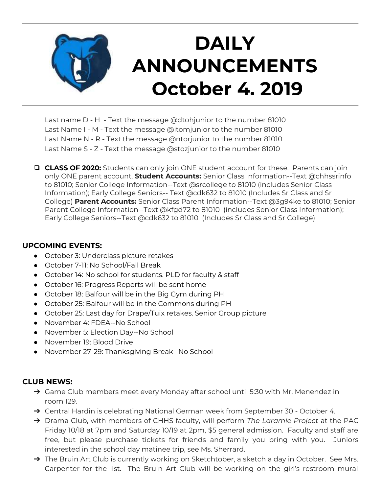

Last name D - H - Text the message @dtohjunior to the number 81010 Last Name I - M - Text the message @itomjunior to the number 81010 Last Name N - R - Text the message @ntorjunior to the number 81010 Last Name S - Z - Text the message @stozjunior to the number 81010

❏ **CLASS OF 2020:** Students can only join ONE student account for these. Parents can join only ONE parent account. **Student Accounts:** Senior Class Information--Text @chhssrinfo to 81010; Senior College Information--Text @srcollege to 81010 (includes Senior Class Information); Early College Seniors-- Text @cdk632 to 81010 (Includes Sr Class and Sr College) **Parent Accounts:** Senior Class Parent Information--Text @3g94ke to 81010; Senior Parent College Information--Text @kfgd72 to 81010 (includes Senior Class Information); Early College Seniors--Text @cdk632 to 81010 (Includes Sr Class and Sr College)

#### **UPCOMING EVENTS:**

- October 3: Underclass picture retakes
- October 7-11: No School/Fall Break
- October 14: No school for students. PLD for faculty & staff
- October 16: Progress Reports will be sent home
- October 18: Balfour will be in the Big Gym during PH
- October 25: Balfour will be in the Commons during PH
- October 25: Last day for Drape/Tuix retakes. Senior Group picture
- November 4: FDEA--No School
- November 5: Election Day--No School
- November 19: Blood Drive
- November 27-29: Thanksgiving Break--No School

## **CLUB NEWS:**

- → Game Club members meet every Monday after school until 5:30 with Mr. Menendez in room 129.
- → Central Hardin is celebrating National German week from September 30 October 4.
- ➔ Drama Club, with members of CHHS faculty, will perform *The Laramie Project* at the PAC Friday 10/18 at 7pm and Saturday 10/19 at 2pm, \$5 general admission. Faculty and staff are free, but please purchase tickets for friends and family you bring with you. Juniors interested in the school day matinee trip, see Ms. Sherrard.
- → The Bruin Art Club is currently working on Sketchtober, a sketch a day in October. See Mrs. Carpenter for the list. The Bruin Art Club will be working on the girl's restroom mural